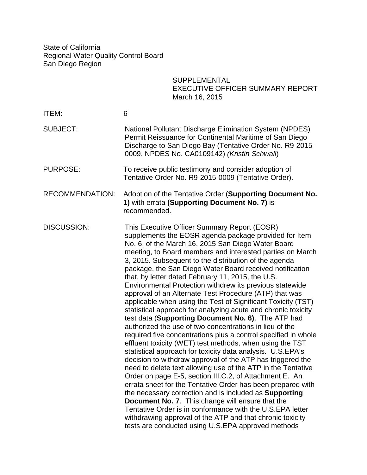State of California Regional Water Quality Control Board San Diego Region

## SUPPLEMENTAL EXECUTIVE OFFICER SUMMARY REPORT March 16, 2015

| ITEM:                  | 6                                                                                                                                                                                                                                                                                                                                                                                                                                                                                                                                                                                                                                                                                                                                                                                                                                                                                                                                                                                                                                                                                                                                                                                                                                                                                                                                                                                                                                                                                                                                   |
|------------------------|-------------------------------------------------------------------------------------------------------------------------------------------------------------------------------------------------------------------------------------------------------------------------------------------------------------------------------------------------------------------------------------------------------------------------------------------------------------------------------------------------------------------------------------------------------------------------------------------------------------------------------------------------------------------------------------------------------------------------------------------------------------------------------------------------------------------------------------------------------------------------------------------------------------------------------------------------------------------------------------------------------------------------------------------------------------------------------------------------------------------------------------------------------------------------------------------------------------------------------------------------------------------------------------------------------------------------------------------------------------------------------------------------------------------------------------------------------------------------------------------------------------------------------------|
| <b>SUBJECT:</b>        | <b>National Pollutant Discharge Elimination System (NPDES)</b><br>Permit Reissuance for Continental Maritime of San Diego<br>Discharge to San Diego Bay (Tentative Order No. R9-2015-<br>0009, NPDES No. CA0109142) (Kristin Schwall)                                                                                                                                                                                                                                                                                                                                                                                                                                                                                                                                                                                                                                                                                                                                                                                                                                                                                                                                                                                                                                                                                                                                                                                                                                                                                               |
| <b>PURPOSE:</b>        | To receive public testimony and consider adoption of<br>Tentative Order No. R9-2015-0009 (Tentative Order).                                                                                                                                                                                                                                                                                                                                                                                                                                                                                                                                                                                                                                                                                                                                                                                                                                                                                                                                                                                                                                                                                                                                                                                                                                                                                                                                                                                                                         |
| <b>RECOMMENDATION:</b> | Adoption of the Tentative Order (Supporting Document No.<br>1) with errata (Supporting Document No. 7) is<br>recommended.                                                                                                                                                                                                                                                                                                                                                                                                                                                                                                                                                                                                                                                                                                                                                                                                                                                                                                                                                                                                                                                                                                                                                                                                                                                                                                                                                                                                           |
| <b>DISCUSSION:</b>     | This Executive Officer Summary Report (EOSR)<br>supplements the EOSR agenda package provided for Item<br>No. 6, of the March 16, 2015 San Diego Water Board<br>meeting, to Board members and interested parties on March<br>3, 2015. Subsequent to the distribution of the agenda<br>package, the San Diego Water Board received notification<br>that, by letter dated February 11, 2015, the U.S.<br>Environmental Protection withdrew its previous statewide<br>approval of an Alternate Test Procedure (ATP) that was<br>applicable when using the Test of Significant Toxicity (TST)<br>statistical approach for analyzing acute and chronic toxicity<br>test data (Supporting Document No. 6). The ATP had<br>authorized the use of two concentrations in lieu of the<br>required five concentrations plus a control specified in whole<br>effluent toxicity (WET) test methods, when using the TST<br>statistical approach for toxicity data analysis. U.S.EPA's<br>decision to withdraw approval of the ATP has triggered the<br>need to delete text allowing use of the ATP in the Tentative<br>Order on page E-5, section III.C.2, of Attachment E. An<br>errata sheet for the Tentative Order has been prepared with<br>the necessary correction and is included as Supporting<br><b>Document No. 7.</b> This change will ensure that the<br>Tentative Order is in conformance with the U.S.EPA letter<br>withdrawing approval of the ATP and that chronic toxicity<br>tests are conducted using U.S.EPA approved methods |